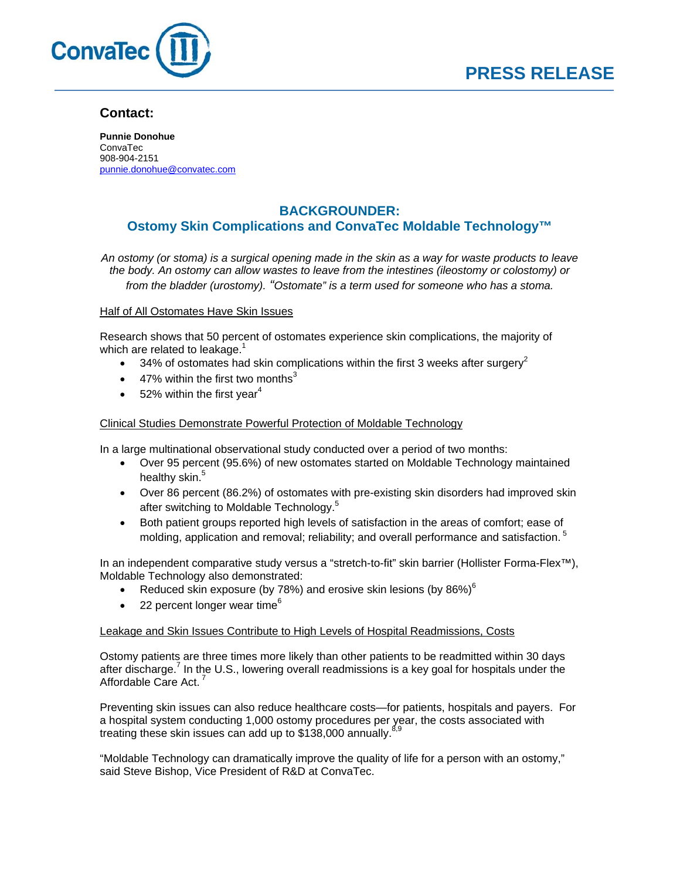

## **Contact:**

**Punnie Donohue**  ConvaTec 908-904-2151 punnie.donohue@convatec.com

# **BACKGROUNDER: Ostomy Skin Complications and ConvaTec Moldable Technology™**

*An ostomy (or stoma) is a surgical opening made in the skin as a way for waste products to leave the body. An ostomy can allow wastes to leave from the intestines (ileostomy or colostomy) or from the bladder (urostomy). "Ostomate" is a term used for someone who has a stoma.* 

### Half of All Ostomates Have Skin Issues

Research shows that 50 percent of ostomates experience skin complications, the majority of which are related to leakage. $1$ 

- 34% of ostomates had skin complications within the first 3 weeks after surgery<sup>2</sup>
- 47% within the first two months<sup>3</sup>
- $\bullet$  52% within the first year<sup>4</sup>

### Clinical Studies Demonstrate Powerful Protection of Moldable Technology

In a large multinational observational study conducted over a period of two months:

- Over 95 percent (95.6%) of new ostomates started on Moldable Technology maintained healthy skin.<sup>5</sup>
- Over 86 percent (86.2%) of ostomates with pre-existing skin disorders had improved skin after switching to Moldable Technology.<sup>5</sup>
- Both patient groups reported high levels of satisfaction in the areas of comfort; ease of molding, application and removal; reliability; and overall performance and satisfaction.<sup>5</sup>

In an independent comparative study versus a "stretch-to-fit" skin barrier (Hollister Forma-Flex™), Moldable Technology also demonstrated:

- Reduced skin exposure (by 78%) and erosive skin lesions (by 86%) $^6$
- 22 percent longer wear time<sup>6</sup>

### Leakage and Skin Issues Contribute to High Levels of Hospital Readmissions, Costs

Ostomy patients are three times more likely than other patients to be readmitted within 30 days after discharge.<sup>7</sup> In the U.S., lowering overall readmissions is a key goal for hospitals under the Affordable Care Act.

Preventing skin issues can also reduce healthcare costs—for patients, hospitals and payers. For a hospital system conducting 1,000 ostomy procedures per year, the costs associated with treating these skin issues can add up to  $$138,000$  annually.<sup>8,9</sup>

"Moldable Technology can dramatically improve the quality of life for a person with an ostomy," said Steve Bishop, Vice President of R&D at ConvaTec.